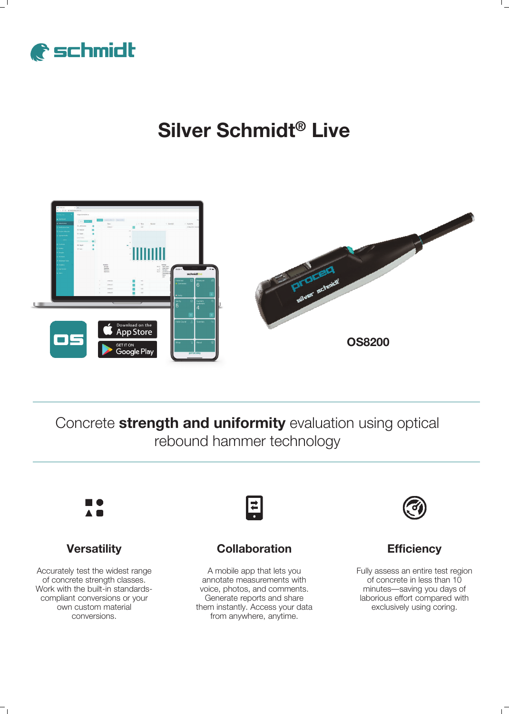

## **Silver Schmidt® Live**



Concrete **strength and uniformity** evaluation using optical rebound hammer technology



## **Versatility**

Accurately test the widest range of concrete strength classes. Work with the built-in standardscompliant conversions or your own custom material conversions.



### **Collaboration**

A mobile app that lets you annotate measurements with voice, photos, and comments. Generate reports and share them instantly. Access your data from anywhere, anytime.



### **Efficiency**

Fully assess an entire test region of concrete in less than 10 minutes—saving you days of laborious effort compared with exclusively using coring.